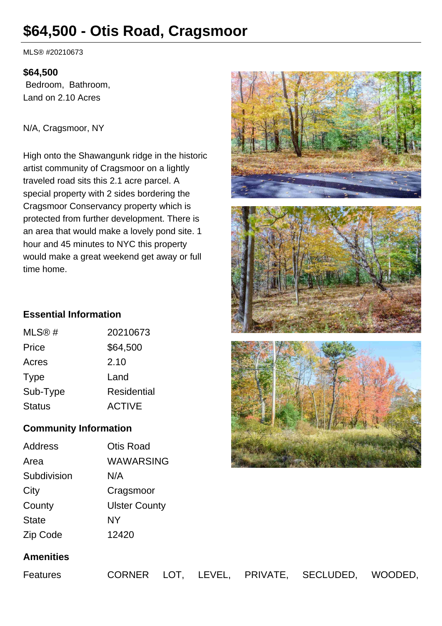# **\$64,500 - Otis Road, Cragsmoor**

MLS® #20210673

## **\$64,500**

 Bedroom, Bathroom, Land on 2.10 Acres

N/A, Cragsmoor, NY

High onto the Shawangunk ridge in the historic artist community of Cragsmoor on a lightly traveled road sits this 2.1 acre parcel. A special property with 2 sides bordering the Cragsmoor Conservancy property which is protected from further development. There is an area that would make a lovely pond site. 1 hour and 45 minutes to NYC this property would make a great weekend get away or full time home.







# **Essential Information**

| MLS@#         | 20210673      |
|---------------|---------------|
| Price         | \$64,500      |
| Acres         | 2.10          |
| Type          | Land          |
| Sub-Type      | Residential   |
| <b>Status</b> | <b>ACTIVE</b> |
|               |               |

# **Community Information**

| <b>Address</b> | <b>Otis Road</b>     |
|----------------|----------------------|
| Area           | WAWARSING            |
| Subdivision    | N/A                  |
| City           | Cragsmoor            |
| County         | <b>Ulster County</b> |
| <b>State</b>   | <b>NY</b>            |
| Zip Code       | 12420                |

# **Amenities**

Features CORNER LOT, LEVEL, PRIVATE, SECLUDED, WOODED,